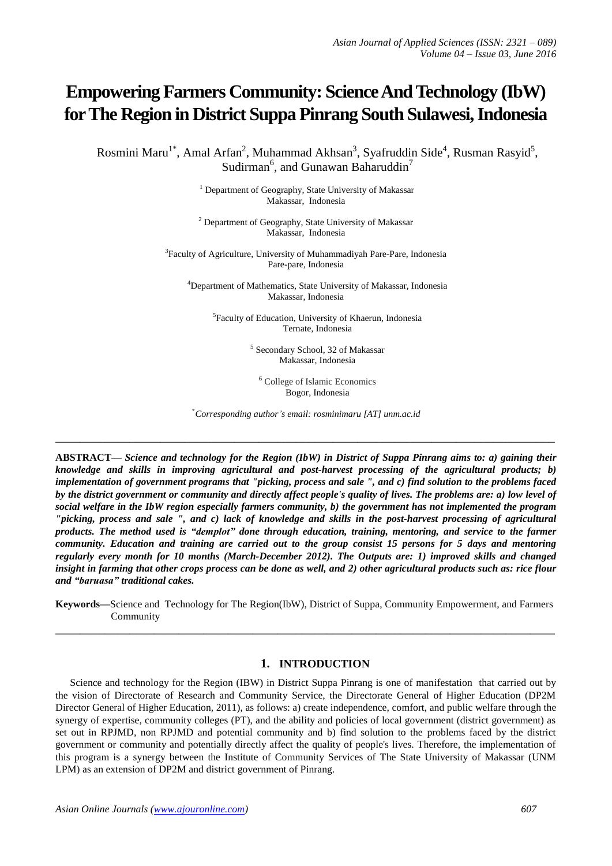# **Empowering Farmers Community: Science And Technology (IbW) for The Region in District Suppa Pinrang South Sulawesi, Indonesia**

Rosmini Maru<sup>1\*</sup>, Amal Arfan<sup>2</sup>, Muhammad Akhsan<sup>3</sup>, Syafruddin Side<sup>4</sup>, Rusman Rasyid<sup>5</sup>, Sudirman<sup>6</sup>, and Gunawan Baharuddin<sup>7</sup>

> <sup>1</sup> Department of Geography, State University of Makassar Makassar, Indonesia

> <sup>2</sup> Department of Geography, State University of Makassar Makassar, Indonesia

<sup>3</sup>Faculty of Agriculture, University of Muhammadiyah Pare-Pare, Indonesia Pare-pare, Indonesia

<sup>4</sup>Department of Mathematics, State University of Makassar, Indonesia Makassar, Indonesia

5 Faculty of Education, University of Khaerun, Indonesia Ternate, Indonesia

> 5 Secondary School, 32 of Makassar Makassar, Indonesia

<sup>6</sup> College of Islamic Economics Bogor, Indonesia

\**Corresponding author's email: rosminimaru [AT] unm.ac.id*

**\_\_\_\_\_\_\_\_\_\_\_\_\_\_\_\_\_\_\_\_\_\_\_\_\_\_\_\_\_\_\_\_\_\_\_\_\_\_\_\_\_\_\_\_\_\_\_\_\_\_\_\_\_\_\_\_\_\_\_\_\_\_\_\_\_\_\_\_\_\_\_\_\_\_\_\_\_\_\_\_\_**

**ABSTRACT—** *Science and technology for the Region (IbW) in District of Suppa Pinrang aims to: a) gaining their knowledge and skills in improving agricultural and post-harvest processing of the agricultural products; b) implementation of government programs that "picking, process and sale ", and c) find solution to the problems faced by the district government or community and directly affect people's quality of lives. The problems are: a) low level of social welfare in the IbW region especially farmers community, b) the government has not implemented the program "picking, process and sale ", and c) lack of knowledge and skills in the post-harvest processing of agricultural products. The method used is "demplot" done through education, training, mentoring, and service to the farmer community. Education and training are carried out to the group consist 15 persons for 5 days and mentoring regularly every month for 10 months (March-December 2012). The Outputs are: 1) improved skills and changed insight in farming that other crops process can be done as well, and 2) other agricultural products such as: rice flour and "baruasa" traditional cakes.*

**Keywords—**Science and Technology for The Region(IbW), District of Suppa, Community Empowerment, and Farmers Community **\_\_\_\_\_\_\_\_\_\_\_\_\_\_\_\_\_\_\_\_\_\_\_\_\_\_\_\_\_\_\_\_\_\_\_\_\_\_\_\_\_\_\_\_\_\_\_\_\_\_\_\_\_\_\_\_\_\_\_\_\_\_\_\_\_\_\_\_\_\_\_\_\_\_\_\_\_\_\_\_\_**

#### **1. INTRODUCTION**

Science and technology for the Region (IBW) in District Suppa Pinrang is one of manifestation that carried out by the vision of Directorate of Research and Community Service, the Directorate General of Higher Education (DP2M Director General of Higher Education, 2011), as follows: a) create independence, comfort, and public welfare through the synergy of expertise, community colleges (PT), and the ability and policies of local government (district government) as set out in RPJMD, non RPJMD and potential community and b) find solution to the problems faced by the district government or community and potentially directly affect the quality of people's lives. Therefore, the implementation of this program is a synergy between the Institute of Community Services of The State University of Makassar (UNM LPM) as an extension of DP2M and district government of Pinrang.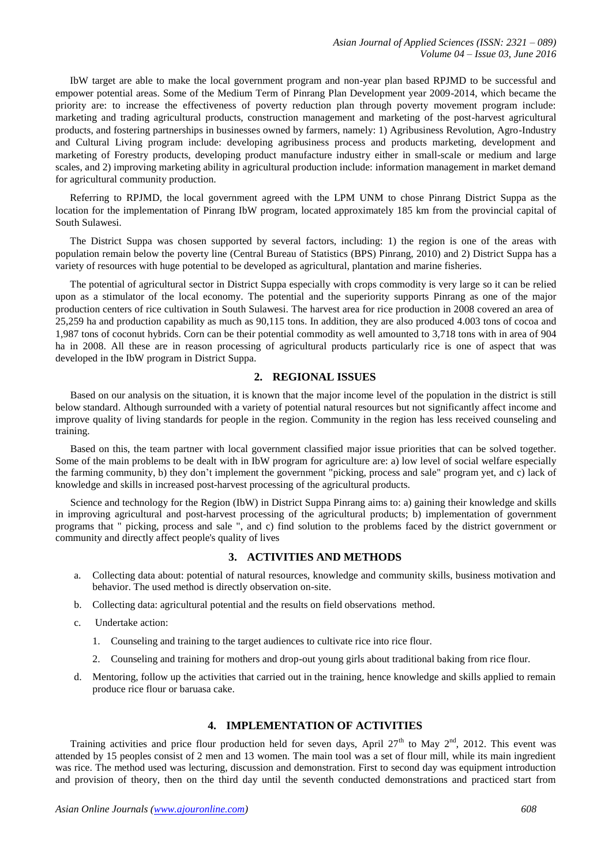IbW target are able to make the local government program and non-year plan based RPJMD to be successful and empower potential areas. Some of the Medium Term of Pinrang Plan Development year 2009-2014, which became the priority are: to increase the effectiveness of poverty reduction plan through poverty movement program include: marketing and trading agricultural products, construction management and marketing of the post-harvest agricultural products, and fostering partnerships in businesses owned by farmers, namely: 1) Agribusiness Revolution, Agro-Industry and Cultural Living program include: developing agribusiness process and products marketing, development and marketing of Forestry products, developing product manufacture industry either in small-scale or medium and large scales, and 2) improving marketing ability in agricultural production include: information management in market demand for agricultural community production.

Referring to RPJMD, the local government agreed with the LPM UNM to chose Pinrang District Suppa as the location for the implementation of Pinrang IbW program, located approximately 185 km from the provincial capital of South Sulawesi.

The District Suppa was chosen supported by several factors, including: 1) the region is one of the areas with population remain below the poverty line (Central Bureau of Statistics (BPS) Pinrang, 2010) and 2) District Suppa has a variety of resources with huge potential to be developed as agricultural, plantation and marine fisheries.

The potential of agricultural sector in District Suppa especially with crops commodity is very large so it can be relied upon as a stimulator of the local economy. The potential and the superiority supports Pinrang as one of the major production centers of rice cultivation in South Sulawesi. The harvest area for rice production in 2008 covered an area of 25,259 ha and production capability as much as 90,115 tons. In addition, they are also produced 4.003 tons of cocoa and 1,987 tons of coconut hybrids. Corn can be their potential commodity as well amounted to 3,718 tons with in area of 904 ha in 2008. All these are in reason processing of agricultural products particularly rice is one of aspect that was developed in the IbW program in District Suppa.

# **2. REGIONAL ISSUES**

Based on our analysis on the situation, it is known that the major income level of the population in the district is still below standard. Although surrounded with a variety of potential natural resources but not significantly affect income and improve quality of living standards for people in the region. Community in the region has less received counseling and training.

Based on this, the team partner with local government classified major issue priorities that can be solved together. Some of the main problems to be dealt with in IbW program for agriculture are: a) low level of social welfare especially the farming community, b) they don't implement the government "picking, process and sale" program yet, and c) lack of knowledge and skills in increased post-harvest processing of the agricultural products.

Science and technology for the Region (IbW) in District Suppa Pinrang aims to: a) gaining their knowledge and skills in improving agricultural and post-harvest processing of the agricultural products; b) implementation of government programs that " picking, process and sale ", and c) find solution to the problems faced by the district government or community and directly affect people's quality of lives

## **3. ACTIVITIES AND METHODS**

- a. Collecting data about: potential of natural resources, knowledge and community skills, business motivation and behavior. The used method is directly observation on-site.
- b. Collecting data: agricultural potential and the results on field observations method.
- c. Undertake action:
	- 1. Counseling and training to the target audiences to cultivate rice into rice flour.
	- 2. Counseling and training for mothers and drop-out young girls about traditional baking from rice flour.
- d. Mentoring, follow up the activities that carried out in the training, hence knowledge and skills applied to remain produce rice flour or baruasa cake.

# **4. IMPLEMENTATION OF ACTIVITIES**

Training activities and price flour production held for seven days, April 27<sup>th</sup> to May  $2^{nd}$ , 2012. This event was attended by 15 peoples consist of 2 men and 13 women. The main tool was a set of flour mill, while its main ingredient was rice. The method used was lecturing, discussion and demonstration. First to second day was equipment introduction and provision of theory, then on the third day until the seventh conducted demonstrations and practiced start from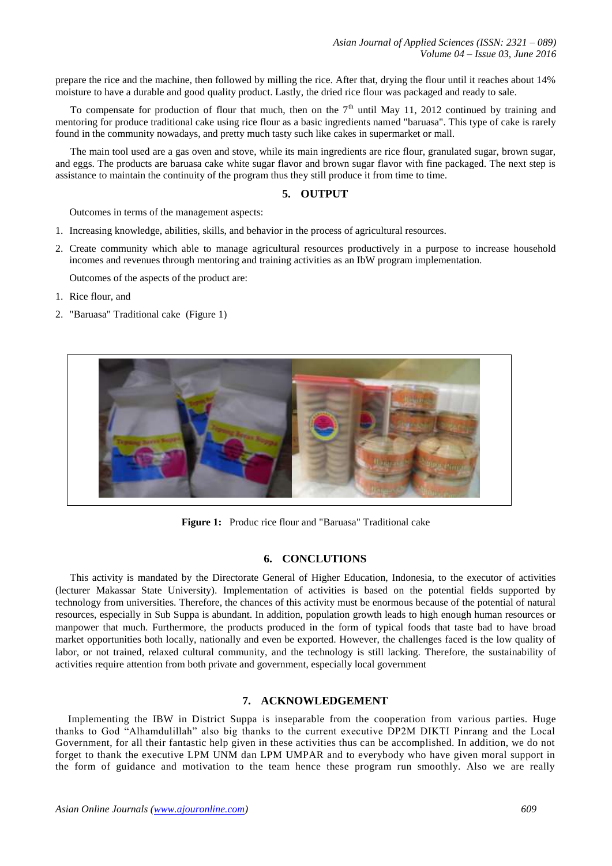prepare the rice and the machine, then followed by milling the rice. After that, drying the flour until it reaches about 14% moisture to have a durable and good quality product. Lastly, the dried rice flour was packaged and ready to sale.

To compensate for production of flour that much, then on the  $7<sup>th</sup>$  until May 11, 2012 continued by training and mentoring for produce traditional cake using rice flour as a basic ingredients named "baruasa". This type of cake is rarely found in the community nowadays, and pretty much tasty such like cakes in supermarket or mall.

The main tool used are a gas oven and stove, while its main ingredients are rice flour, granulated sugar, brown sugar, and eggs. The products are baruasa cake white sugar flavor and brown sugar flavor with fine packaged. The next step is assistance to maintain the continuity of the program thus they still produce it from time to time.

### **5. OUTPUT**

Outcomes in terms of the management aspects:

- 1. Increasing knowledge, abilities, skills, and behavior in the process of agricultural resources.
- 2. Create community which able to manage agricultural resources productively in a purpose to increase household incomes and revenues through mentoring and training activities as an IbW program implementation.

Outcomes of the aspects of the product are:

- 1. Rice flour, and
- 2. "Baruasa" Traditional cake (Figure 1)



**Figure 1:** Produc rice flour and "Baruasa" Traditional cake

## **6. CONCLUTIONS**

This activity is mandated by the Directorate General of Higher Education, Indonesia, to the executor of activities (lecturer Makassar State University). Implementation of activities is based on the potential fields supported by technology from universities. Therefore, the chances of this activity must be enormous because of the potential of natural resources, especially in Sub Suppa is abundant. In addition, population growth leads to high enough human resources or manpower that much. Furthermore, the products produced in the form of typical foods that taste bad to have broad market opportunities both locally, nationally and even be exported. However, the challenges faced is the low quality of labor, or not trained, relaxed cultural community, and the technology is still lacking. Therefore, the sustainability of activities require attention from both private and government, especially local government

# **7. ACKNOWLEDGEMENT**

Implementing the IBW in District Suppa is inseparable from the cooperation from various parties. Huge thanks to God "Alhamdulillah" also big thanks to the current executive DP2M DIKTI Pinrang and the Local Government, for all their fantastic help given in these activities thus can be accomplished. In addition, we do not forget to thank the executive LPM UNM dan LPM UMPAR and to everybody who have given moral support in the form of guidance and motivation to the team hence these program run smoothly. Also we are really